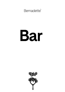Bernadette<sup>®</sup>

# Bar

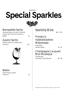## Nighttime **Special Sparkles**



### Bernadette Spritz

Vermouth bianco & rosso, Crème de Cassis, mint, lime juice, prosecco, bitters 14

#### Aperol Spritz

Aperol, prosecco, orange slice, prosecco 12.5



Bellini Peach liqueur, peach, Prosecco 13

#### Sparkling Wine;

10cl / 75cl

#### Prosecco Valdobbiadene Millesimato

Villa Sandi Veneto, Italien 10 / 70

#### Champagne Jacquart Brut Mosaïque

Chardonnay, Pinot Noir, Pinot Meunier 16 / 112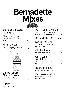## **Bernadette Mixes**



#### Bernadette starts the night;

## Blackberry Spritz

Prosecco, crème de Mures , soda 12.5

## $Pimm's$  No.1

Pimm`s No.1, fresh citrus fruits, mint & cucumber, Ginger Ale 15



#### Gin Raspberry Thyme Smash

Gin, raspberries, homemade thyme syrup, lime juice, sugar 15

## Gimlet

Gin, lime juice, sugar 14

*3*

## Port Rosemary Fizz

Taylor's 10 years, fresh lemon juice, rosemary homemade syrup, soda 14

## Bernadette's Classics;

## Swiss Negroni

Turicum gin, Martinnazi bitter, Helvetico rosso 16

## Old Fashioned

Bourbon, bitters, sugar 17

#### Gin Passion Basil Smash

Gin, lemon juice, passion fruit, basil, sugar 17

## Bourbon Julep

Bourbon whiskey, sugar, mint 16

## Espresso Martini

Vodka, Kaluha, Espresso, Gailliano, suger 16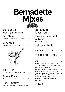## **Bernadette Mixes**

#### Bernadette loves Ginger Beer;

#### Züri Mule

Turicum Gin, lime juice, ginger beer 17

## Skyy Mule

Vodka, lime juice, ginger beer 16



#### Islay Mule Ardbeg Ten, lime juice, ginger beer 19

Smoky Mule Mezcal, lime juice, ginger beer, bitters 19

#### Dark & Stormy Dark rum, lime juice, ginger beer, bitters 17

Bernadette loves Tonic; Helvetico Vermouth & Tonic (dry, bianco or rosso) 13 Italicus & Tonic 19 Campari & Tonic  $_{12}$ White Port & Tonic 105  $Gin$   $4c1$ 

| U IIL J                                   | 4CI |
|-------------------------------------------|-----|
| Bickens Premium Gin   London   40%        | 10  |
| Turicum Dry Gin Small Batch   CH   40% 14 |     |
| Deux Frères   CH   43%                    | 19  |
| Ginuine Gin Strawberry   CH   40%         | 14  |
| Mare Mediterranean Gin   ESP   42.7%      | 16  |
| Tanqueray London Dry Gin   UK   47.3%     | 13  |
| Haymans Sloe Gin   UK   26%               | 13  |
| Hendrick's Gin   Scotland   41.4%         | 14  |
| Monkey 47 Schwarzwald Dry Gin             |     |
| DE   47%                                  | 16  |
|                                           |     |

## $& \text{Topic} \qquad \qquad \downarrow A$

*4*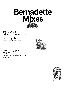

#### **Bernadette** drives home; (Without alcohol)

Bitter Spritz

Sanbitter, orange juice, soda 7

#### Raspberry peach cooler

Raspberry, peach puree, lemon juice, sugar, soda 9



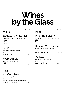## **Wines** by the Glass

10cl / 75cl

## White;

## Stadt Zürcher Kerner

Burghalde-Riesbach, Landolt Weine, Zürich 2020 Kerner 8.5 / 59

## Touraine

Françcois Chidaine, Loire, FR 2020 Sauvignon Blanc 7.5 / 52

## Roero Arneis

Malvirà, Piemont, Italien 2020 Arneis 8 / 56

## Rosé;

.

### Miraflors Rosé

Côtes du Roussillon 2020 Domaine Lafage, Languedoc, France Grenache Gris, Mourvèdre 8 / 56

## Red;

10cl / 75cl

#### Pinot Noir classic

Weingut Erich Meier, Uetikon, Zürich 2020 Pinot Noir 9.5/ 66

## Ripasso Valpolicella

Monte del Frà, Veneto, Italien 2018 Corvina, Rondinella 8 / 56

## Valletta

Gagliole, Toskana, Italien 2018 Sangiovese, Merlot 9.5 / 66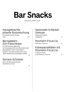## **Bar Snacks**

BIS 23.30 / UNTIL 23.30

#### Hausgemachte pikante Nussmischung

*Homemade mixed roasted nuts* 6.5

#### Bernadette's Züri-Fleischkäse

im Holzkörbchen gebacken mit knusprigem Bürli und Meerrettichsenf *Zürich Fleischkäse baked in a wooden basket with crispy*  "Bürli" bread and horseradish-mustard

11

#### Serrano-Schinken

Frisch ab Berkel geschnitten *Sliced Serrano ham* 

9

#### Saisonales Antipasti Gemüse

*Seasonal antipasti vegetables* 5

#### Rosmarin-Focaccia

*Rosemary focaccia* 4

#### Käsespezialitäten mit Rosmarin-Focaccia

*Cheeses served with rosemary focaccia* 8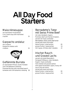# **All Day Food<br>Starters**

### Maiscrèmesuppe

mit marinierten Flusskrebsen *Corn cream soup with marinated crayfish* 15

## Gazpacho andaluz

mit Croûtons *Gazpacho andaluz with croûtons* 15



### Geflämmte Burrata

an mariniertem Pfirsich, bunte Tomaten und Chili-Balsamico Dressing *Flammed Burrata with marinated peach, tomatoes and chili-balsamico dressing* 18

#### Bernadette's Tatar mit Swiss Prime Beef

mit roten Zwiebeln, Kapern, Pommery-Senf und frischen Kräutern, serviert mit Toast und Butter Bernadette's Swiss prime beef tartar *served with toast and butter* kleine Portion / *small portion* 29

grosse Portion / *large portion* 41 mit Cognac, Whisky oder Calvados +5

#### Irischer Rauchund Graved Lachs

serviert mit Apfel-Meerrettich, Honigsenf-Dillsauce, roten Zwiebeln, Kapern, Toast und Butter *Irish smoked and graved salmon with apple horseradish capers, honey-dill sauce and red onions served with toast and butter* kleine Portion / *small portion* 29 grosse Portion / *large portion* 41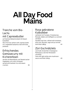# **All Day Food<br>Mains**

#### Tranche vom Bio-Lachs mit Capresebutter

auf Gemüse-Balsamicobeet mit blauen Kartoffeln

*Slice from bio salmon with caprese butter on a vegetable-balsamico bed with blue potatoes* 38

#### Erfrischendes Gemüsecurry mit Kichererbsen

serviert mit Basmatireis und Sesamcracker *Vegetable curry with chickpeas served with basmati rice and sesam crackers* 30

#### Rosa gebratene Kalbsleber

verfeinert mit Tomaten, Pinienkernen, Marsala, Salbei und kräftigem Jus serviert mit Rösti

*Sautéed veal liver, refined with tomatoes, pine nuts, Marsala, sage and jus served with Rösti (180g)* 44

## Züri Gschnätzlets

vom Kalb mit leichter Champignon-Rahmsauce, Zürcher Weisswein und Rösti *Veal with light white wine mushroom sauce and Rösti (140g)* 49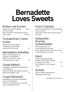## **Bernadette Loves Sweets**

## Wähen und Kuchen

fragen Sie unsere Mitarbeiter ab 6.5 *Tarts and Cakes Daily fresh offer of fruit tarts and cakes, ask our staff from 6.5*

#### Tonkabohnen Crème brûlée

serviert mit frischen Beeren *Tonkabeans crème brûlèe served with fresh berries* 12

## Bernadette's Fiskaffee

Kaffee-und Vanilleglacé mit Espresso und Schlagrahm *Coffee and vanilla ice cream with espresso and cream* 12

## Coupe Bailey's

Vanilleglacé mit Baileys, Mandelkrokant und Schlagrahm *Vanilla ice cream with Baileys, almonds brittle and whipped cream* 11

## Coupe Dänemark

Vanilleglacé mit warmer Schokoladensauce und Schlagrahm *Vanilla ice cream with warm chocolate sauce and whipped cream* 12

## Kirsch Clafoutis

serviert mit Vanillesauce und Schokoglacé *Cherry clafoutis* 12 *served with vanilla sauce and chocolate ice cream*

#### Solognotte / **Warmes** Apfeltartelette

mit Karamellsauce und Crème double de la Gruyère *Warm apple tart with caramel sauce and Crème double de la Gruyère* 14

## Glacé

Vanille, Schokolade, Kaffee, Erdbeer, Stracciatella, Karamell pro Kugel / *per scoop* 4.5 mit Schlagrahm / *with whipped cream* + 1

#### **Sorbets**

Zitrone, Mango-Passionsfrucht, Blutorange, Zwetschgen

pro Kugel / per scoop 4.5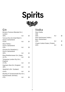



### Gin

| Bickens Premium Blended Gin  <br>London                       |                 |    |
|---------------------------------------------------------------|-----------------|----|
| 40%                                                           | 4c <sub>1</sub> | 10 |
| Turicum Dry Gin Small Batch  <br>Zurich, Switzerland<br>41.5% | 4c <sub>l</sub> | 14 |
| Deux Frères  <br>Zurich, Switzerland<br>43%                   | 4c <sub>l</sub> | 19 |
| Ginuine Gin Strawberry  <br>Zurich, Switzerland<br>40%        | 4cl             | 14 |
| Mare Mediterranean Gin   Spain<br>42.7%                       | 4c <sub>l</sub> | 16 |
| Tanqueray London Dry Gin  <br>England                         |                 |    |
| 47.3%                                                         | 4c <sub>1</sub> | 13 |
| Haymans Sloe Gin   England<br>26%                             | 4c <sub>1</sub> | 13 |
| Hendrick's Gin   Scotland                                     |                 |    |
| 41.4%                                                         | 4c <sub>l</sub> | 14 |
| Monkey 47 Schwarzwald Dry Gin  <br>Schwarzwald, Germany       |                 |    |
| 47%                                                           | 4cl             | 16 |
|                                                               |                 |    |

## Vodka

| Skyy Vodka                   |     |    |
|------------------------------|-----|----|
| <b>USA</b>                   |     |    |
| 40%                          | 4c1 | 10 |
| Hanz Spirituosen Vodka       |     |    |
| Bern, Switzerland            |     |    |
| 40%                          | 4c1 | 12 |
| Chopin Vodka Potato   Poland |     |    |
| 40%                          | 4cl | 15 |
|                              |     |    |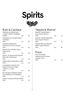



#### Rum & Cachaça

| <b>Plantation Artisanal Rum</b><br>"3 Stars" White   Caribbean           |                 |    |
|--------------------------------------------------------------------------|-----------------|----|
| 41.20%<br>Plantation Rum Original Dark                                   | 4c <sub>l</sub> | 10 |
| Caribbean<br>40%                                                         | 4c <sub>l</sub> | 10 |
| Appleton Estate Extra<br>12 Years Rum 70cl   Jamaica<br>43%              | 4c <sub>1</sub> | 14 |
| Bacardi Facundo Neo Silver  <br>Puerto Rico                              |                 |    |
| 40%                                                                      | 4c <sub>l</sub> | 18 |
| Rhum J. M. Rhum Gold Agricole<br>50% 70cl   Martinique                   |                 |    |
| 40%                                                                      | 4c <sub>l</sub> | 12 |
| Kraken Black Spiced Rum   USA                                            |                 |    |
| 40%                                                                      | 4c <sub>l</sub> | 12 |
| Corporation Cuba Ron S.A.<br>Havana Club Rum Añejo<br>7 años 7 J.   Cuba |                 |    |
| 40%                                                                      | 4c <sub>1</sub> | 14 |
| Ron Zacapa Centenario Solera<br>Gran Reserva 23   Guatemala              |                 |    |
| 40%                                                                      | 4c <sub>l</sub> | 18 |
| Leblon Cachaça do Brasil   Brasil<br>40%                                 | 4cl             | 12 |
|                                                                          |                 |    |

Tequila & Mezcal

| 4c <sub>1</sub> | 11 |
|-----------------|----|
| 4c <sub>1</sub> | 11 |
| 4c1             | 18 |
|                 |    |

#### Pisco

| Pisco Acholado.       |     |   |
|-----------------------|-----|---|
| Demonio de los Andes. |     |   |
| Tacama   Peru         |     |   |
| 40%                   | 2c1 | R |
|                       |     |   |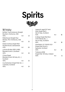



#### **Whisky**

| Buffalo Trace Kentucky Straight<br>Bourbon   Kentucky, USA<br>40% | 4c <sub>l</sub> | 12 |
|-------------------------------------------------------------------|-----------------|----|
| Rittenhouse Straight Rye<br>Whisky 70cl   Kentucky, USA<br>50%    | 4cl             | 15 |
| Käsers Schloss Single Malt<br>Double Wood   Switzerland<br>43%    | 4c <sub>l</sub> | 26 |
| Johnnie Walker RED LABEL<br>Blended Scotch   Scotland<br>40%      | 4c <sub>l</sub> | 10 |
| Chivas Regal<br>Blended Scotch Whisky 12 J.<br>Scotland<br>40%    | 4cl             | 15 |
| Auchentoshan Single Malt 12 J.<br>Lowlands, Scotland              |                 |    |
| 40%                                                               | 4cl             | 14 |

| Lagavulin aged 16 Years<br>Islay Single Malt  <br>Isle of Islay, Scotland<br>43% | 4c <sub>1</sub> | 16 |
|----------------------------------------------------------------------------------|-----------------|----|
| Ardbeg Single Malt Non<br>Chill-Filtered 10 J.<br>Isle of Islay, Scotland<br>46% | 4c <sub>1</sub> | 18 |
| Glenfiddich 12 YFARS OLD<br>Single Malt Scotch  <br>Speyside, Scotland<br>40%    | 4c <sub>1</sub> | 14 |
| <b>Tullamore DEW</b><br>Single Malt Whisky   Ireland<br>40%                      | 4cl             |    |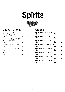



#### Cognac, Brandy & Calvados

| Hennessy Cognac VS<br>40%                            | 2c1             | 12 |
|------------------------------------------------------|-----------------|----|
| Rémy Martin Cognac VSOP<br>Mature Cask Finish<br>40% | 2c1             | 14 |
| Cognac 1840 Pierre Ferrand<br>45%                    | 2c <sub>1</sub> | 10 |
| Vecchia Romagna Etichetta Nera<br>38%                | 2c <sub>1</sub> | 10 |
| Morin Père et Fils Calvados<br>35%                   | 2cl             |    |

#### Grappa

| Nonino Grappa Antica Cuvée 5 J. |                 |                 |
|---------------------------------|-----------------|-----------------|
| 43%                             | 2c1             | 12              |
| Nonino Grappa II Merlot         |                 |                 |
| 41%                             | 2c1             | $10 \,$         |
| Nonino Grappa II Moscato        |                 |                 |
| 41%                             | 2cl             | $10 \,$         |
| Nonino Grappa Lo Chardonnay     |                 |                 |
| 41%                             | 2c <sub>l</sub> | $10 \,$         |
| Grappa di Barbera, Marolo       |                 |                 |
| 41%                             | 2c1             | $10 \,$         |
| Grappa di Brunello, Marolo      |                 |                 |
| 41%                             | 2c1             | 10 <sup>2</sup> |
| Grappa di Nebbiolo, Marolo      |                 |                 |
| 41%                             | 2cl             | 10              |
| Grappa Fior di Vite Ramazzotti  |                 |                 |
| 40%                             | 2cl             | 8               |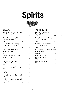



#### **Bitters**

| Matter Martinazzi Classic Bitter  <br>Bern, Switzerland<br>22% | 4c <sub>l</sub> | 8  |
|----------------------------------------------------------------|-----------------|----|
| Matter Gran Classico Bitter  <br>Bern, Switzerland<br>28%      | 4c <sub>1</sub> | 9  |
| Appenzeller Alpenbitter  <br>Appenzell, Switzerland<br>29%     | 4c <sub>l</sub> | 8  |
| Campari Bitter Aperitif<br>Lombardei, Italy<br>23%             | 4c <sub>l</sub> | 8  |
| Braulio Amaro Alpino Aperitif<br>Lombardy, Italy<br>21%        | 4c <sub>l</sub> | 7  |
| Ramazzotti Amaro 1815  <br>Lombardy, Italy<br>30%              | 4c <sub>l</sub> | 8  |
| Averna Amaro Aperitif   Italy<br>29%                           | 4cl             | 8  |
| Cynar   Italy<br>16.50%                                        | 4c <sub>1</sub> | 8  |
| Fernet Branca   Lombardy, Italy<br>40%                         | 4c <sub>l</sub> | 8  |
| Nonino Amaro Quintessentia  <br>Friuli, Italy<br>35%           | 4c <sub>l</sub> | 10 |
|                                                                |                 |    |

#### Vermouth

| Helvetico Vermouth Dry<br>Zurich, Switzerland             |                 |   |
|-----------------------------------------------------------|-----------------|---|
| 16%                                                       | 4c <sub>l</sub> | 9 |
| Helvetico Vermouth Bianco  <br>Zurich, Switzerland<br>16% | 4c <sub>l</sub> |   |
| Helvetico Vermouth Rosso  <br>Zurich, Switzerland         |                 |   |
| 16%                                                       | 4cl             | 9 |
| Carpano Antica Formula Vermouth  <br>Lombardy, Italy      |                 |   |
| 16.50%                                                    | 4c <sub>1</sub> |   |
| Lillet Blanc Apéritif<br>Bordeaux, France                 |                 |   |
| 17%                                                       | 4c <sub>l</sub> | 8 |
| Aperol Aperitif   Italy<br>11%                            | 4cl             | 8 |
|                                                           |                 |   |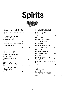



#### Pastis & Absinthe

| Pernod Aperitif   Pontarlier, France |                 |    |
|--------------------------------------|-----------------|----|
| 40%                                  | 4c <sub>l</sub> |    |
| Matter Absinthe "Mansinthe"          |                 |    |
| by Marilyn Manson                    |                 |    |
| Switzerland, Bern                    |                 |    |
| 66.60%                               | 4c <sub>1</sub> | 15 |
| Henri Bardouin Pastis Grand Cru      |                 |    |
| Provence, France                     |                 |    |
| 45%                                  |                 |    |

#### Sherry & Port

| Tio Pepe Sherry Palomino   |     |     |
|----------------------------|-----|-----|
| Fino Gonzales              |     |     |
| Byass, Spanien Xerez       |     |     |
| 15%                        | 5c1 | 10  |
| Taylor's 10YO              |     |     |
| 10 Years   Portugal, Douro |     |     |
| 20%                        | 5cl | 12  |
| Taylor's Chip Dry White    |     |     |
| Portugal, Douro            |     |     |
| 16%                        | 5c1 | հ հ |
|                            |     |     |

Fruit Brandies

| Mirabelle F. Razzai  <br>Switzerland<br>42%                       | 2c1 | 8 |
|-------------------------------------------------------------------|-----|---|
| Himbeer 40%,<br>Brennerei Hans Erismann  <br>Zurich, Switzerland  | 2cl | 8 |
| Williams 41%,<br>Brennerei Hans Erismann  <br>Zurich, Switzerland | 2c1 | 8 |
| Kirsch 41%,<br>Brennerei Willisau  <br>Zurich, Switzerland        | 2cl | 8 |
| Quitten 41%,<br>Brennerei Hans Erismann  <br>Zurich, Switzerland  | 2cl | 8 |
| Morin Père et Fils Vieille Prune                                  |     |   |
| France<br>41%                                                     | 2cl | 8 |

#### Akvavit

| Danish Distillers Akvavit |                 |            |
|---------------------------|-----------------|------------|
| Aalborg Taffel   Denmark  |                 |            |
| 45%                       | 4c <sub>1</sub> | $1 \Omega$ |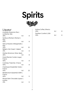



### Liqueur

| Amaretto Disaronno Illva  <br>Lombardy, Italy<br>28% | 4c <sub>l</sub> | 8  |
|------------------------------------------------------|-----------------|----|
| Sambuca Molinari, Molinari  <br>Italy<br>40%         | 4c <sub>l</sub> | 8  |
| Italicus Rosolio di Bergamotto  <br>Italy            |                 |    |
| 32%<br>Bailey's Irish Cream   Ireland                | 4c <sub>l</sub> | 15 |
| 17%                                                  | 4c <sub>l</sub> | 8  |
| Hierbas Ibicencas   Ibiza, Spain<br>26%              | 4c <sub>l</sub> | 8  |
| Grand Marnier Cordon rouge<br>France                 |                 |    |
| 40%                                                  | 4c <sub>l</sub> | 8  |
| Cointreau Triple Sec   France<br>40%                 | 4c <sub>l</sub> | 8  |
| Chartreuse Kräuterlikör Verte  <br>France            |                 |    |
| 55%                                                  | 4c <sub>l</sub> | 13 |
| Bénédictine Kräuterlikör DOM  <br>France             |                 |    |
| 40%                                                  | 4c <sub>l</sub> | 9  |
| Mozart Dark Chocolate Liqueur  <br>Austria           |                 |    |
| 17%                                                  | 4c <sub>l</sub> | 9  |

| Kahlua Coffee   Mexico<br>20% | 4c <sub>1</sub> | 8 |
|-------------------------------|-----------------|---|
| Southern Comfort   USA<br>35% | 4c <sub>1</sub> | R |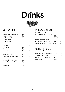



#### Soft Drinks

| Gazosa Aranciata Amara  | 35cl             | 6   |
|-------------------------|------------------|-----|
| Gazosa Limone           | 35 <sub>cl</sub> | 6   |
| Rivella Rot / Blau      | 33cl             | 5.5 |
| Apfelschorle /          |                  |     |
| Apple schorle           | 33cl             | 5.5 |
| Coca Cola               | 33cl             | 5.5 |
| Cola Zero               | 33cl             | 5.5 |
| Eistee Lemon            | 33cl             | 5.5 |
| Red Bull                | 25cl             | 8   |
| Tonic Fever Tree        | 20c              | 6   |
| Bitter Lemon Fever Tree | 20c              | 6   |
| Ginger Ale Fever Tree   | 20c              | 6   |
| Ginger Beer Fever Tree  | 20c              | 6   |
| San Bitter              | 10c1             | 5.5 |

#### Mineral /Water

Züriwasser ZH2O, drink & donate / *Tap water* 50cl 3 100cl 6 Valser Mineralwasser mit & ohne Kohlensäure 33cl 5.5

|  | Valser water still or sparkling 75cl | 9.5 |
|--|--------------------------------------|-----|

#### Säfte / Juices

| Orangensaft / orange juice | 20cl | 6 |
|----------------------------|------|---|
| Tomatensaft / Tomato       | 20c1 | 6 |
| Ananassaft / Pineapple     | 20c1 | 6 |
| Grapefruit                 | 20c1 | 6 |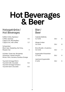# Hot Beverages<br>& Beer

#### Heissgetränke / Hot Beverages

| Kaffee Crème, Espresso /<br>Coffee, espresso<br>Cappuccino, Milchkaffee /                                 | 4.5 |
|-----------------------------------------------------------------------------------------------------------|-----|
| Cappuccino, milk coffee                                                                                   | 5.7 |
| Schwarztee /<br>Black teas: Darjeeling, Earl Grey,<br>Masala Chai                                         | 5   |
| Grüntee / Green tea: Morgentau<br>Infusionen / Herbal infusion:<br>Minze / Mint, Verveine, Rooibos-Orange |     |
| Taucherli-Schoggi Milch/<br>Taucherli milk chocolate<br>Taucherli-Schoggi Schwarz /                       | 6.5 |
| Taucherli dark chocolate                                                                                  | 6.5 |

#### Bier / Beer

| Calanda Edelbräu<br>5.2 Vol%           | 33cl | 6 |
|----------------------------------------|------|---|
| Ittinger Amber<br>5.6 Vol%             | 33cl | 8 |
| Birra Moretti, L'Autentica<br>4.6 Vol% | 33cl |   |
| Appenzeller Weizenbier<br>5.2 Vol%     | 50cl | 9 |
| Leermond Appenzeller<br>O Vol%         | 33cl |   |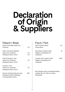# **Declaration** of Origin<br>& Suppliers

Fisch/ Fish

#### Fleisch/Meat

| Swiss Prime Beef Geiser AG,<br>Schlieren                                               | CH.        | Swiss Alpine Salmon<br>Aquaculture                                | CH.  |
|----------------------------------------------------------------------------------------|------------|-------------------------------------------------------------------|------|
| Kalb / <i>Veal</i> (Gschnätzlets)<br>Geiser AG, Schlieren<br>Metzgerei Keller, Zürich  | CH.<br>CH. | Rauchlachs, Salmon Salar<br>Rageth Comestibles AG,<br>Landquart   | IE.  |
| Kalb (Eckstück) / Veal<br>Geiser AG, Schlieren<br>Metzgerei Keller, Zürich             | CH.        | Graved Lachs, Salmon Salar<br>Rageth Comestibles AG,<br>Landquart | NOR. |
| Schwein / Pork<br>Geiser AG, Schlieren<br>Metzgerei Keller, Zürich                     | <b>CH</b>  | Bei Allergien oder Unverträglichkeiten,                           |      |
| Serrano Schinken/Serrano ham<br>Metzgerei Köferli, Döttingen<br>Frischparadies, Zürich | ESP        | wenden Sie sich bitte an unsere<br>Mitarbeiter                    |      |
|                                                                                        |            |                                                                   |      |